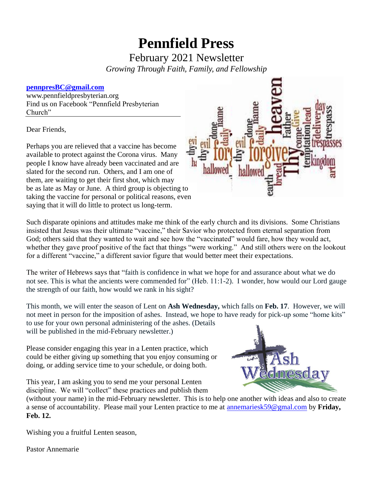# **Pennfield Press**

February 2021 Newsletter

*Growing Through Faith, Family, and Fellowship* 

## **[pennpresBC@gmail.com](mailto:pennpresBC@gmail.com)**

www.pennfieldpresbyterian.org Find us on Facebook "Pennfield Presbyterian Church"

Dear Friends,

Perhaps you are relieved that a vaccine has become available to protect against the Corona virus. Many people I know have already been vaccinated and are slated for the second run. Others, and I am one of them, are waiting to get their first shot, which may be as late as May or June. A third group is objecting to taking the vaccine for personal or political reasons, even saying that it will do little to protect us long-term.



Such disparate opinions and attitudes make me think of the early church and its divisions. Some Christians insisted that Jesus was their ultimate "vaccine," their Savior who protected from eternal separation from God; others said that they wanted to wait and see how the "vaccinated" would fare, how they would act, whether they gave proof positive of the fact that things "were working." And still others were on the lookout for a different "vaccine," a different savior figure that would better meet their expectations.

The writer of Hebrews says that "faith is confidence in what we hope for and assurance about what we do not see. This is what the ancients were commended for" (Heb. 11:1-2). I wonder, how would our Lord gauge the strength of our faith, how would we rank in his sight?

This month, we will enter the season of Lent on **Ash Wednesday,** which falls on **Feb. 17**. However, we will not meet in person for the imposition of ashes. Instead, we hope to have ready for pick-up some "home kits" to use for your own personal administering of the ashes. (Details will be published in the mid-February newsletter.)

Please consider engaging this year in a Lenten practice, which could be either giving up something that you enjoy consuming or doing, or adding service time to your schedule, or doing both.

This year, I am asking you to send me your personal Lenten discipline. We will "collect" these practices and publish them



(without your name) in the mid-February newsletter. This is to help one another with ideas and also to create a sense of accountability. Please mail your Lenten practice to me at [annemariesk59@gmal.com](mailto:annemariesk59@gmal.com) by **Friday, Feb. 12.**

Wishing you a fruitful Lenten season,

Pastor Annemarie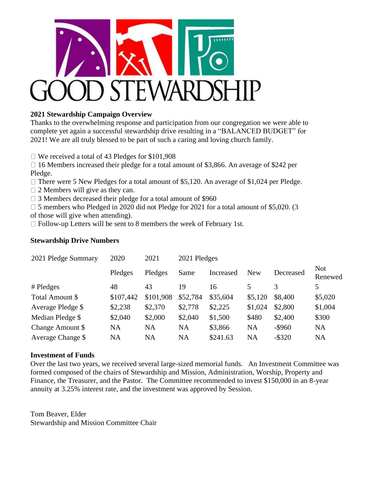

## **2021 Stewardship Campaign Overview**

Thanks to the overwhelming response and participation from our congregation we were able to complete yet again a successful stewardship drive resulting in a "BALANCED BUDGET" for 2021! We are all truly blessed to be part of such a caring and loving church family.

□ We received a total of 43 Pledges for \$101,908

 $\Box$  16 Members increased their pledge for a total amount of \$3,866. An average of \$242 per Pledge.

 $\Box$  There were 5 New Pledges for a total amount of \$5,120. An average of \$1,024 per Pledge.

 $\Box$  2 Members will give as they can.

 $\Box$  3 Members decreased their pledge for a total amount of \$960

□ 5 members who Pledged in 2020 did not Pledge for 2021 for a total amount of \$5,020. (3 of those will give when attending).

 $\Box$  Follow-up Letters will be sent to 8 members the week of February 1st.

## **Stewardship Drive Numbers**

| 2021 Pledge Summary | 2020      | 2021      | 2021 Pledges |           |            |           |                       |
|---------------------|-----------|-----------|--------------|-----------|------------|-----------|-----------------------|
|                     | Pledges   | Pledges   | Same         | Increased | <b>New</b> | Decreased | <b>Not</b><br>Renewed |
| # Pledges           | 48        | 43        | 19           | 16        |            | 3         | 5                     |
| Total Amount \$     | \$107,442 | \$101,908 | \$52,784     | \$35,604  | \$5,120    | \$8,400   | \$5,020               |
| Average Pledge \$   | \$2,238   | \$2,370   | \$2,778      | \$2,225   | \$1,024    | \$2,800   | \$1,004               |
| Median Pledge \$    | \$2,040   | \$2,000   | \$2,040      | \$1,500   | \$480      | \$2,400   | \$300                 |
| Change Amount \$    | NA        | NA        | NA           | \$3,866   | <b>NA</b>  | $-$ \$960 | <b>NA</b>             |
| Average Change \$   | NA        | <b>NA</b> | <b>NA</b>    | \$241.63  | <b>NA</b>  | $-$ \$320 | <b>NA</b>             |

## **Investment of Funds**

Over the last two years, we received several large-sized memorial funds. An Investment Committee was formed composed of the chairs of Stewardship and Mission, Administration, Worship, Property and Finance, the Treasurer, and the Pastor. The Committee recommended to invest \$150,000 in an 8-year annuity at 3.25% interest rate, and the investment was approved by Session.

Tom Beaver, Elder Stewardship and Mission Committee Chair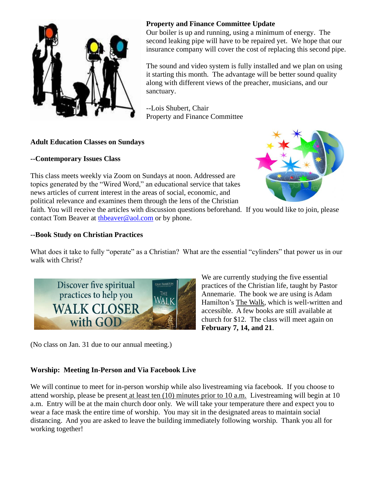

## **Property and Finance Committee Update**

Our boiler is up and running, using a minimum of energy. The second leaking pipe will have to be repaired yet. We hope that our insurance company will cover the cost of replacing this second pipe.

The sound and video system is fully installed and we plan on using it starting this month. The advantage will be better sound quality along with different views of the preacher, musicians, and our sanctuary.

--Lois Shubert, Chair Property and Finance Committee

# **Adult Education Classes on Sundays**

# **--Contemporary Issues Class**

This class meets weekly via Zoom on Sundays at noon. Addressed are topics generated by the "Wired Word," an educational service that takes news articles of current interest in the areas of social, economic, and political relevance and examines them through the lens of the Christian



faith. You will receive the articles with discussion questions beforehand. If you would like to join, please contact Tom Beaver at [thbeaver@aol.com](mailto:thbeaver@aol.com) or by phone.

# **--Book Study on Christian Practices**

What does it take to fully "operate" as a Christian? What are the essential "cylinders" that power us in our walk with Christ?



We are currently studying the five essential practices of the Christian life, taught by Pastor Annemarie. The book we are using is Adam Hamilton's The Walk, which is well-written and accessible. A few books are still available at church for \$12. The class will meet again on **February 7, 14, and 21**.

(No class on Jan. 31 due to our annual meeting.)

# **Worship: Meeting In-Person and Via Facebook Live**

We will continue to meet for in-person worship while also livestreaming via facebook. If you choose to attend worship, please be present at least ten (10) minutes prior to 10 a.m. Livestreaming will begin at 10 a.m. Entry will be at the main church door only. We will take your temperature there and expect you to wear a face mask the entire time of worship. You may sit in the designated areas to maintain social distancing. And you are asked to leave the building immediately following worship. Thank you all for working together!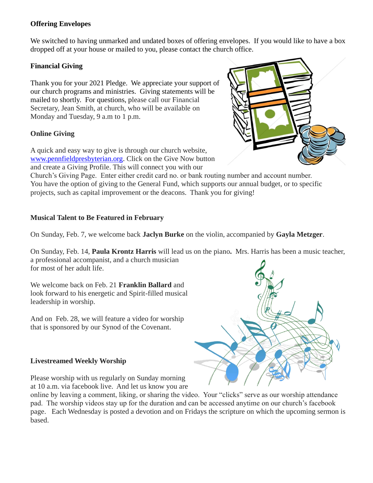## **Offering Envelopes**

We switched to having unmarked and undated boxes of offering envelopes. If you would like to have a box dropped off at your house or mailed to you, please contact the church office.

## **Financial Giving**

Thank you for your 2021 Pledge. We appreciate your support of our church programs and ministries. Giving statements will be mailed to shortly. For questions, please call our Financial Secretary, Jean Smith, at church, who will be available on Monday and Tuesday, 9 a.m to 1 p.m.

## **Online Giving**

A quick and easy way to give is through our church website, [www.pennfieldpresbyterian.org.](http://www.pennfieldpresbyterian.org/) Click on the Give Now button and create a Giving Profile. This will connect you with our



Church's Giving Page. Enter either credit card no. or bank routing number and account number. You have the option of giving to the General Fund, which supports our annual budget, or to specific projects, such as capital improvement or the deacons. Thank you for giving!

## **Musical Talent to Be Featured in February**

On Sunday, Feb. 7, we welcome back **Jaclyn Burke** on the violin, accompanied by **Gayla Metzger**.

On Sunday, Feb. 14, **Paula Krontz Harris** will lead us on the piano**.** Mrs. Harris has been a music teacher, a professional accompanist, and a church musician for most of her adult life.

We welcome back on Feb. 21 **Franklin Ballard** and look forward to his energetic and Spirit-filled musical leadership in worship.

And on Feb. 28, we will feature a video for worship that is sponsored by our Synod of the Covenant.

## **Livestreamed Weekly Worship**

Please worship with us regularly on Sunday morning at 10 a.m. via facebook live. And let us know you are

online by leaving a comment, liking, or sharing the video. Your "clicks" serve as our worship attendance pad. The worship videos stay up for the duration and can be accessed anytime on our church's facebook page. Each Wednesday is posted a devotion and on Fridays the scripture on which the upcoming sermon is based.

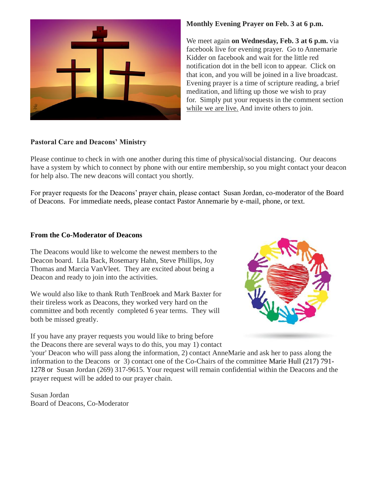

#### **Pastoral Care and Deacons' Ministry**

Please continue to check in with one another during this time of physical/social distancing. Our deacons have a system by which to connect by phone with our entire membership, so you might contact your deacon for help also. The new deacons will contact you shortly.

For prayer requests for the Deacons' prayer chain, please contact Susan Jordan, co-moderator of the Board of Deacons. For immediate needs, please contact Pastor Annemarie by e-mail, phone, or text.

#### **From the Co-Moderator of Deacons**

The Deacons would like to welcome the newest members to the Deacon board. Lila Back, Rosemary Hahn, Steve Phillips, Joy Thomas and Marcia VanVleet. They are excited about being a Deacon and ready to join into the activities.

We would also like to thank Ruth TenBroek and Mark Baxter for their tireless work as Deacons, they worked very hard on the committee and both recently completed 6 year terms. They will both be missed greatly.



If you have any prayer requests you would like to bring before the Deacons there are several ways to do this, you may 1) contact

'your' Deacon who will pass along the information, 2) contact AnneMarie and ask her to pass along the information to the Deacons or 3) contact one of the Co-Chairs of the committee Marie Hull (217) 791- 1278 or Susan Jordan (269) 317-9615. Your request will remain confidential within the Deacons and the prayer request will be added to our prayer chain.

Susan Jordan Board of Deacons, Co-Moderator **Monthly Evening Prayer on Feb. 3 at 6 p.m.**

We meet again **on Wednesday, Feb. 3 at 6 p.m.** via facebook live for evening prayer. Go to Annemarie Kidder on facebook and wait for the little red notification dot in the bell icon to appear. Click on that icon, and you will be joined in a live broadcast. Evening prayer is a time of scripture reading, a brief meditation, and lifting up those we wish to pray for. Simply put your requests in the comment section while we are live. And invite others to join.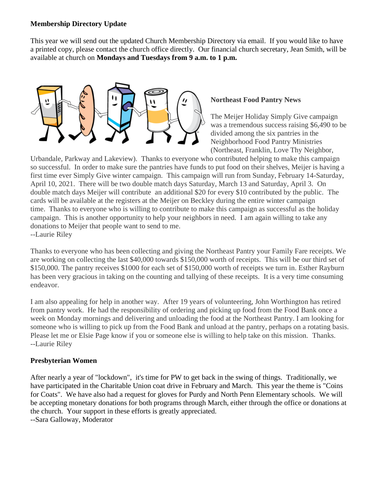#### **Membership Directory Update**

This year we will send out the updated Church Membership Directory via email. If you would like to have a printed copy, please contact the church office directly. Our financial church secretary, Jean Smith, will be available at church on **Mondays and Tuesdays from 9 a.m. to 1 p.m.**



#### **Northeast Food Pantry News**

The Meijer Holiday Simply Give campaign was a tremendous success raising \$6,490 to be divided among the six pantries in the Neighborhood Food Pantry Ministries (Northeast, Franklin, Love Thy Neighbor,

Urbandale, Parkway and Lakeview). Thanks to everyone who contributed helping to make this campaign so successful. In order to make sure the pantries have funds to put food on their shelves, Meijer is having a first time ever Simply Give winter campaign. This campaign will run from Sunday, February 14-Saturday, April 10, 2021. There will be two double match days Saturday, March 13 and Saturday, April 3. On double match days Meijer will contribute an additional \$20 for every \$10 contributed by the public. The cards will be available at the registers at the Meijer on Beckley during the entire winter campaign time. Thanks to everyone who is willing to contribute to make this campaign as successful as the holiday campaign. This is another opportunity to help your neighbors in need. I am again willing to take any donations to Meijer that people want to send to me. --Laurie Riley

Thanks to everyone who has been collecting and giving the Northeast Pantry your Family Fare receipts. We are working on collecting the last \$40,000 towards \$150,000 worth of receipts. This will be our third set of \$150,000. The pantry receives \$1000 for each set of \$150,000 worth of receipts we turn in. Esther Rayburn has been very gracious in taking on the counting and tallying of these receipts. It is a very time consuming endeavor.

I am also appealing for help in another way. After 19 years of volunteering, John Worthington has retired from pantry work. He had the responsibility of ordering and picking up food from the Food Bank once a week on Monday mornings and delivering and unloading the food at the Northeast Pantry. I am looking for someone who is willing to pick up from the Food Bank and unload at the pantry, perhaps on a rotating basis. Please let me or Elsie Page know if you or someone else is willing to help take on this mission. Thanks. --Laurie Riley

## **Presbyterian Women**

After nearly a year of "lockdown", it's time for PW to get back in the swing of things. Traditionally, we have participated in the Charitable Union coat drive in February and March. This year the theme is "Coins for Coats". We have also had a request for gloves for Purdy and North Penn Elementary schools. We will be accepting monetary donations for both programs through March, either through the office or donations at the church. Your support in these efforts is greatly appreciated. --Sara Galloway, Moderator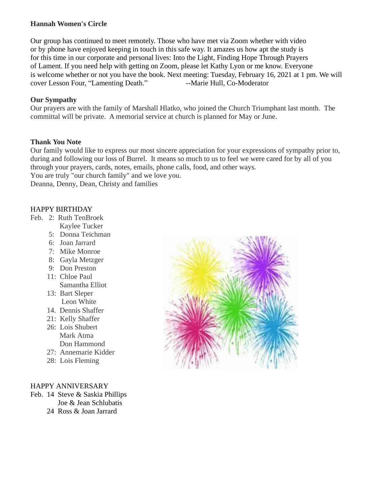## **Hannah Women's Circle**

Our group has continued to meet remotely. Those who have met via Zoom whether with video or by phone have enjoyed keeping in touch in this safe way. It amazes us how apt the study is for this time in our corporate and personal lives: Into the Light, Finding Hope Through Prayers of Lament. If you need help with getting on Zoom, please let Kathy Lyon or me know. Everyone is welcome whether or not you have the book. Next meeting: Tuesday, February 16, 2021 at 1 pm. We will cover Lesson Four, "Lamenting Death." -- Marie Hull, Co-Moderator

#### **Our Sympathy**

Our prayers are with the family of Marshall Hlatko, who joined the Church Triumphant last month. The committal will be private. A memorial service at church is planned for May or June.

#### **Thank You Note**

Our family would like to express our most sincere appreciation for your expressions of sympathy prior to, during and following our loss of Burrel. It means so much to us to feel we were cared for by all of you through your prayers, cards, notes, emails, phone calls, food, and other ways.

You are truly "our church family" and we love you.

Deanna, Denny, Dean, Christy and families

#### HAPPY BIRTHDAY

- Feb. 2: Ruth TenBroek
	- Kaylee Tucker
	- 5: Donna Teichman
	- 6: Joan Jarrard
	- 7: Mike Monroe
	- 8: Gayla Metzger
	- 9: Don Preston
	- 11: Chloe Paul
	- Samantha Elliot
	- 13: Bart Sleper Leon White
	- 14. Dennis Shaffer
	- 21: Kelly Shaffer
	- 26: Lois Shubert Mark Atma Don Hammond
	- 27: Annemarie Kidder
	- 28: Lois Fleming

#### HAPPY ANNIVERSARY

- Feb. 14 Steve & Saskia Phillips Joe & Jean Schlubatis
	- 24 Ross & Joan Jarrard